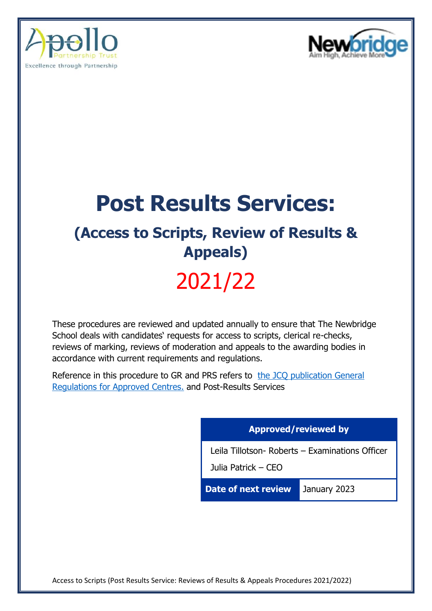



# **Post Results Services:**

### **(Access to Scripts, Review of Results & Appeals)**

## 2021/22

These procedures are reviewed and updated annually to ensure that The Newbridge School deals with candidates' requests for access to scripts, clerical re-checks, reviews of marking, reviews of moderation and appeals to the awarding bodies in accordance with current requirements and regulations.

Reference in this procedure to GR and PRS refers to the JCQ publication General [Regulations for Approved Centres.](https://www.jcq.org.uk/wp-content/uploads/2022/01/Gen_regs_approved_centres_21-22_FINAL.pdf) and Post-Results Services

#### **Approved/reviewed by**

Leila Tillotson- Roberts – Examinations Officer

Julia Patrick – CEO

**Date of next review** January 2023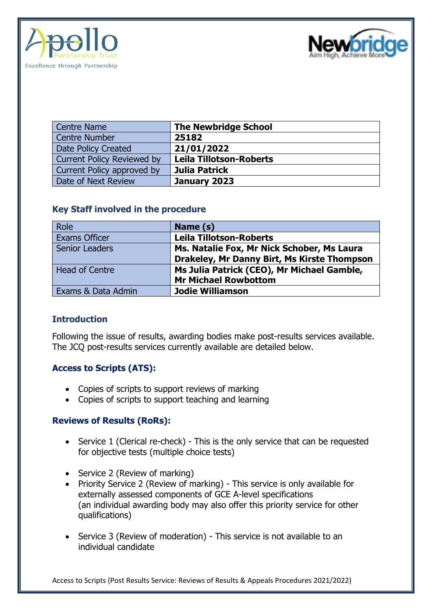



| <b>Centre Name</b>                | <b>The Newbridge School</b>    |
|-----------------------------------|--------------------------------|
| <b>Centre Number</b>              | 25182                          |
| Date Policy Created               | 21/01/2022                     |
| <b>Current Policy Reviewed by</b> | <b>Leila Tillotson-Roberts</b> |
| Current Policy approved by        | Julia Patrick                  |
| Date of Next Review               | January 2023                   |

#### **Key Staff involved in the procedure**

| Role                  | Name (s)                                    |
|-----------------------|---------------------------------------------|
| <b>Exams Officer</b>  | <b>Leila Tillotson-Roberts</b>              |
| <b>Senior Leaders</b> | Ms. Natalie Fox, Mr Nick Schober, Ms Laura  |
|                       | Drakeley, Mr Danny Birt, Ms Kirste Thompson |
| <b>Head of Centre</b> | Ms Julia Patrick (CEO), Mr Michael Gamble,  |
|                       | <b>Mr Michael Rowbottom</b>                 |
| Exams & Data Admin    | <b>Jodie Williamson</b>                     |

#### **Introduction**

Following the issue of results, awarding bodies make post-results services available. The JCQ post-results services currently available are detailed below.

#### **Access to Scripts (ATS):**

- Copies of scripts to support reviews of marking
- Copies of scripts to support teaching and learning

#### **Reviews of Results (RoRs):**

- Service 1 (Clerical re-check) This is the only service that can be requested for objective tests (multiple choice tests)
- Service 2 (Review of marking)
- Priority Service 2 (Review of marking) This service is only available for externally assessed components of GCE A-level specifications (an individual awarding body may also offer this priority service for other qualifications)
- Service 3 (Review of moderation) This service is not available to an individual candidate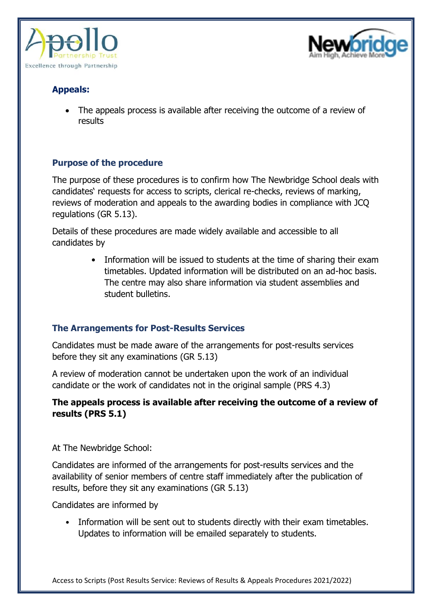



#### **Appeals:**

• The appeals process is available after receiving the outcome of a review of results

#### **Purpose of the procedure**

The purpose of these procedures is to confirm how The Newbridge School deals with candidates' requests for access to scripts, clerical re-checks, reviews of marking, reviews of moderation and appeals to the awarding bodies in compliance with JCQ regulations (GR 5.13).

Details of these procedures are made widely available and accessible to all candidates by

> • Information will be issued to students at the time of sharing their exam timetables. Updated information will be distributed on an ad-hoc basis. The centre may also share information via student assemblies and student bulletins.

#### **The Arrangements for Post-Results Services**

Candidates must be made aware of the arrangements for post-results services before they sit any examinations (GR 5.13)

A review of moderation cannot be undertaken upon the work of an individual candidate or the work of candidates not in the original sample (PRS 4.3)

#### **The appeals process is available after receiving the outcome of a review of results (PRS 5.1)**

At The Newbridge School:

Candidates are informed of the arrangements for post-results services and the availability of senior members of centre staff immediately after the publication of results, before they sit any examinations (GR 5.13)

Candidates are informed by

• Information will be sent out to students directly with their exam timetables. Updates to information will be emailed separately to students.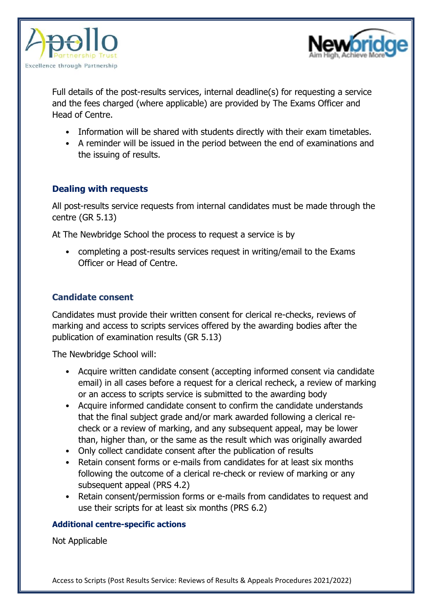



Full details of the post-results services, internal deadline(s) for requesting a service and the fees charged (where applicable) are provided by The Exams Officer and Head of Centre.

- Information will be shared with students directly with their exam timetables.
- A reminder will be issued in the period between the end of examinations and the issuing of results.

#### **Dealing with requests**

All post-results service requests from internal candidates must be made through the centre (GR 5.13)

At The Newbridge School the process to request a service is by

• completing a post-results services request in writing/email to the Exams Officer or Head of Centre.

#### **Candidate consent**

Candidates must provide their written consent for clerical re-checks, reviews of marking and access to scripts services offered by the awarding bodies after the publication of examination results (GR 5.13)

The Newbridge School will:

- Acquire written candidate consent (accepting informed consent via candidate email) in all cases before a request for a clerical recheck, a review of marking or an access to scripts service is submitted to the awarding body
- Acquire informed candidate consent to confirm the candidate understands that the final subject grade and/or mark awarded following a clerical recheck or a review of marking, and any subsequent appeal, may be lower than, higher than, or the same as the result which was originally awarded
- Only collect candidate consent after the publication of results
- Retain consent forms or e-mails from candidates for at least six months following the outcome of a clerical re-check or review of marking or any subsequent appeal (PRS 4.2)
- Retain consent/permission forms or e-mails from candidates to request and use their scripts for at least six months (PRS 6.2)

#### **Additional centre-specific actions**

Not Applicable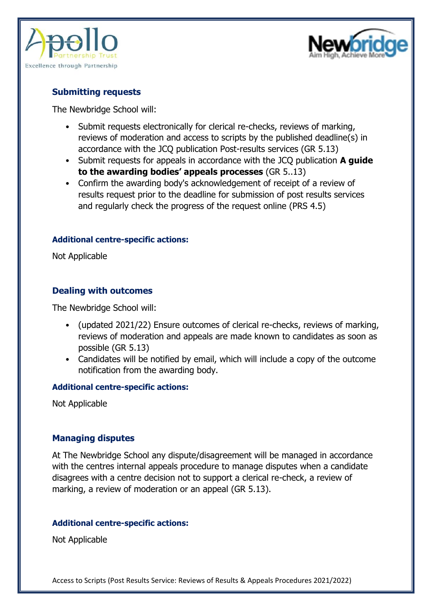



#### **Submitting requests**

The Newbridge School will:

- Submit requests electronically for clerical re-checks, reviews of marking, reviews of moderation and access to scripts by the published deadline(s) in accordance with the JCQ publication Post-results services (GR 5.13)
- Submit requests for appeals in accordance with the JCQ publication **A guide to the awarding bodies' appeals processes** (GR 5..13)
- Confirm the awarding body's acknowledgement of receipt of a review of results request prior to the deadline for submission of post results services and regularly check the progress of the request online (PRS 4.5)

#### **Additional centre-specific actions:**

Not Applicable

#### **Dealing with outcomes**

The Newbridge School will:

- (updated 2021/22) Ensure outcomes of clerical re-checks, reviews of marking, reviews of moderation and appeals are made known to candidates as soon as possible (GR 5.13)
- Candidates will be notified by email, which will include a copy of the outcome notification from the awarding body.

#### **Additional centre-specific actions:**

Not Applicable

#### **Managing disputes**

At The Newbridge School any dispute/disagreement will be managed in accordance with the centres internal appeals procedure to manage disputes when a candidate disagrees with a centre decision not to support a clerical re-check, a review of marking, a review of moderation or an appeal (GR 5.13).

#### **Additional centre-specific actions:**

Not Applicable